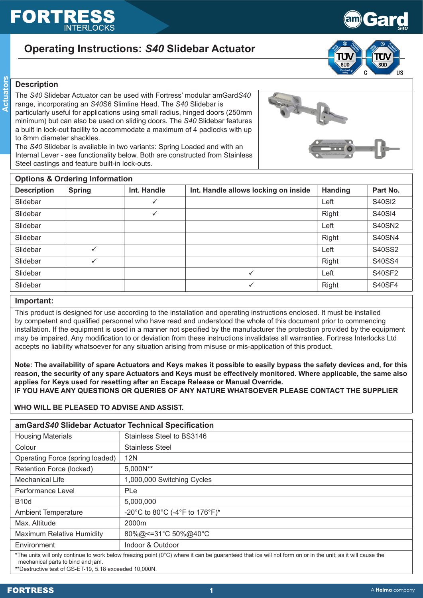# FORT

# **Operating Instructions:** *S40* **Slidebar Actuator**



**Gard** 

*S40*

# **Description**

The *S40* Slidebar Actuator can be used with Fortress' modular amGard*S40* range, incorporating an *S40*S6 Slimline Head. The *S40* Slidebar is particularly useful for applications using small radius, hinged doors (250mm minimum) but can also be used on sliding doors. The *S40* Slidebar features a built in lock-out facility to accommodate a maximum of 4 padlocks with up to 8mm diameter shackles.

The *S40* Slidebar is available in two variants: Spring Loaded and with an Internal Lever - see functionality below. Both are constructed from Stainless Steel castings and feature built-in lock-outs.

| <b>Options &amp; Ordering Information</b> |               |              |                                      |         |               |  |  |  |
|-------------------------------------------|---------------|--------------|--------------------------------------|---------|---------------|--|--|--|
| <b>Description</b>                        | <b>Spring</b> | Int. Handle  | Int. Handle allows locking on inside | Handing | Part No.      |  |  |  |
| Slidebar                                  |               | $\checkmark$ |                                      | Left    | <b>S40SI2</b> |  |  |  |
| Slidebar                                  |               | $\checkmark$ |                                      | Right   | <b>S40SI4</b> |  |  |  |
| Slidebar                                  |               |              |                                      | Left    | <b>S40SN2</b> |  |  |  |
| Slidebar                                  |               |              |                                      | Right   | <b>S40SN4</b> |  |  |  |
| Slidebar                                  | $\checkmark$  |              |                                      | Left    | S40SS2        |  |  |  |
| Slidebar                                  | $\checkmark$  |              |                                      | Right   | S40SS4        |  |  |  |
| Slidebar                                  |               |              | $\checkmark$                         | Left    | <b>S40SF2</b> |  |  |  |
| Slidebar                                  |               |              | $\checkmark$                         | Right   | <b>S40SF4</b> |  |  |  |

# **Important:**

This product is designed for use according to the installation and operating instructions enclosed. It must be installed by competent and qualified personnel who have read and understood the whole of this document prior to commencing installation. If the equipment is used in a manner not specified by the manufacturer the protection provided by the equipment may be impaired. Any modification to or deviation from these instructions invalidates all warranties. Fortress Interlocks Ltd accepts no liability whatsoever for any situation arising from misuse or mis-application of this product.

**Note: The availability of spare Actuators and Keys makes it possible to easily bypass the safety devices and, for this reason, the security of any spare Actuators and Keys must be effectively monitored. Where applicable, the same also applies for Keys used for resetting after an Escape Release or Manual Override. IF YOU HAVE ANY QUESTIONS OR QUERIES OF ANY NATURE WHATSOEVER PLEASE CONTACT THE SUPPLIER**

# **WHO WILL BE PLEASED TO ADVISE AND ASSIST.**

| amGardS40 Slidebar Actuator Technical Specification                                                                                                        |                                |  |  |  |  |
|------------------------------------------------------------------------------------------------------------------------------------------------------------|--------------------------------|--|--|--|--|
| <b>Housing Materials</b>                                                                                                                                   | Stainless Steel to BS3146      |  |  |  |  |
| Colour                                                                                                                                                     | <b>Stainless Steel</b>         |  |  |  |  |
| Operating Force (spring loaded)                                                                                                                            | <b>12N</b>                     |  |  |  |  |
| Retention Force (locked)                                                                                                                                   | 5,000N**                       |  |  |  |  |
| <b>Mechanical Life</b>                                                                                                                                     | 1,000,000 Switching Cycles     |  |  |  |  |
| Performance Level                                                                                                                                          | PLe                            |  |  |  |  |
| <b>B10d</b>                                                                                                                                                | 5,000,000                      |  |  |  |  |
| <b>Ambient Temperature</b>                                                                                                                                 | -20°C to 80°C (-4°F to 176°F)* |  |  |  |  |
| Max. Altitude                                                                                                                                              | 2000m                          |  |  |  |  |
| <b>Maximum Relative Humidity</b>                                                                                                                           | 80%@<=31°C 50%@40°C            |  |  |  |  |
| Environment                                                                                                                                                | Indoor & Outdoor               |  |  |  |  |
| *The units will only continue to work below freezing point (0°C) where it can be guaranteed that ice will not form on or in the unit; as it will cause the |                                |  |  |  |  |

mechanical parts to bind and jam.

\*\*Destructive test of GS-ET-19, 5.18 exceeded 10,000N.

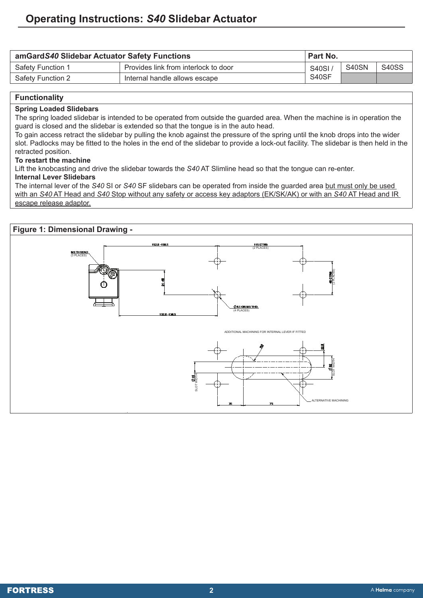| amGardS40 Slidebar Actuator Safety Functions |                                      |              | ' Part No. |              |  |
|----------------------------------------------|--------------------------------------|--------------|------------|--------------|--|
| <b>Safety Function 1</b>                     | Provides link from interlock to door | <b>S40SI</b> | S40SN      | <b>S40SS</b> |  |
| Safety Function 2                            | Internal handle allows escape        | S40SF        |            |              |  |

## **Functionality**

#### **Spring Loaded Slidebars**

The spring loaded slidebar is intended to be operated from outside the guarded area. When the machine is in operation the guard is closed and the slidebar is extended so that the tongue is in the auto head.

To gain access retract the slidebar by pulling the knob against the pressure of the spring until the knob drops into the wider slot. Padlocks may be fitted to the holes in the end of the slidebar to provide a lock-out facility. The slidebar is then held in the retracted position.

#### **To restart the machine**

Lift the knobcasting and drive the slidebar towards the *S40* AT Slimline head so that the tongue can re-enter.

# **Internal Lever Slidebars**

The internal lever of the *S40* SI or *S40* SF slidebars can be operated from inside the guarded area but must only be used with an *S40* AT Head and *S40* Stop without any safety or access key adaptors (EK/SK/AK) or with an *S40* AT Head and IR escape release adaptor.

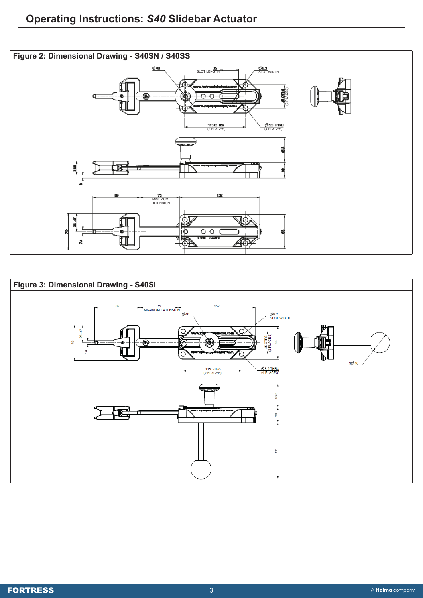